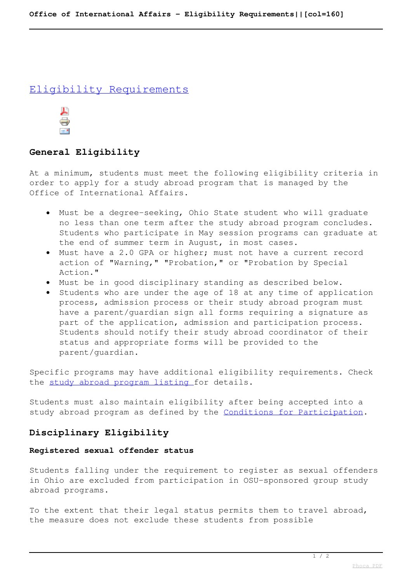## Eligibility Requirements



# **General Eligibility**

At a minimum, students must meet the following eligibility criteria in order to apply for a study abroad program that is managed by the Office of International Affairs.

- Must be a degree-seeking, Ohio State student who will graduate no less than one term after the study abroad program concludes. Students who participate in May session programs can graduate at the end of summer term in August, in most cases.
- Must have a 2.0 GPA or higher; must not have a current record action of "Warning," "Probation," or "Probation by Special Action."
- Must be in good disciplinary standing as described below.
- Students who are under the age of 18 at any time of application process, admission process or their study abroad program must have a parent/guardian sign all forms requiring a signature as part of the application, admission and participation process. Students should notify their study abroad coordinator of their status and appropriate forms will be provided to the parent/guardian.

Specific programs may have additional eligibility requirements. Check the study abroad program listing for details.

Students must also maintain eligibility after being accepted into a study abroad program as defined by the Conditions for Participation.

# **Disciplinary Eligibility**

### **Registered sexual offender status**

Students falling under the requirement to register as sexual offenders in Ohio are excluded from participation in OSU-sponsored group study abroad programs.

To the extent that their legal status permits them to travel abroad, the measure does not exclude these students from possible